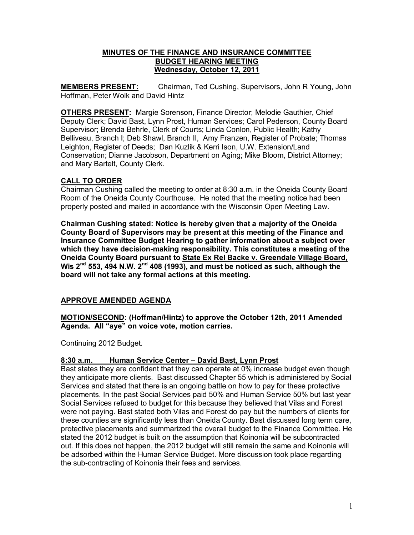## **MINUTES OF THE FINANCE AND INSURANCE COMMITTEE BUDGET HEARING MEETING Wednesday, October 12, 2011**

**MEMBERS PRESENT:** Chairman, Ted Cushing, Supervisors, John R Young, John Hoffman, Peter Wolk and David Hintz

**OTHERS PRESENT:** Margie Sorenson, Finance Director; Melodie Gauthier, Chief Deputy Clerk; David Bast, Lynn Prost, Human Services; Carol Pederson, County Board Supervisor; Brenda Behrle, Clerk of Courts; Linda Conlon, Public Health; Kathy Belliveau, Branch I; Deb Shawl, Branch II, Amy Franzen, Register of Probate; Thomas Leighton, Register of Deeds; Dan Kuzlik & Kerri Ison, U.W. Extension/Land Conservation; Dianne Jacobson, Department on Aging; Mike Bloom, District Attorney; and Mary Bartelt, County Clerk.

# **CALL TO ORDER**

Chairman Cushing called the meeting to order at 8:30 a.m. in the Oneida County Board Room of the Oneida County Courthouse. He noted that the meeting notice had been properly posted and mailed in accordance with the Wisconsin Open Meeting Law.

**Chairman Cushing stated: Notice is hereby given that a majority of the Oneida County Board of Supervisors may be present at this meeting of the Finance and Insurance Committee Budget Hearing to gather information about a subject over**  which they have decision-making responsibility. This constitutes a meeting of the **Oneida County Board pursuant to State Ex Rel Backe v. Greendale Village Board, Wis 2nd 553, 494 N.W. 2nd 408 (1993), and must be noticed as such, although the board will not take any formal actions at this meeting.** 

## **APPROVE AMENDED AGENDA**

**MOTION/SECOND: (Hoffman/Hintz) to approve the October 12th, 2011 Amended Agenda. All "aye" on voice vote, motion carries.**

Continuing 2012 Budget.

## **8:30 a.m. Human Service Center – David Bast, Lynn Prost**

Bast states they are confident that they can operate at 0% increase budget even though they anticipate more clients. Bast discussed Chapter 55 which is administered by Social Services and stated that there is an ongoing battle on how to pay for these protective placements. In the past Social Services paid 50% and Human Service 50% but last year Social Services refused to budget for this because they believed that Vilas and Forest were not paying. Bast stated both Vilas and Forest do pay but the numbers of clients for these counties are significantly less than Oneida County. Bast discussed long term care, protective placements and summarized the overall budget to the Finance Committee. He stated the 2012 budget is built on the assumption that Koinonia will be subcontracted out. If this does not happen, the 2012 budget will still remain the same and Koinonia will be adsorbed within the Human Service Budget. More discussion took place regarding the sub-contracting of Koinonia their fees and services.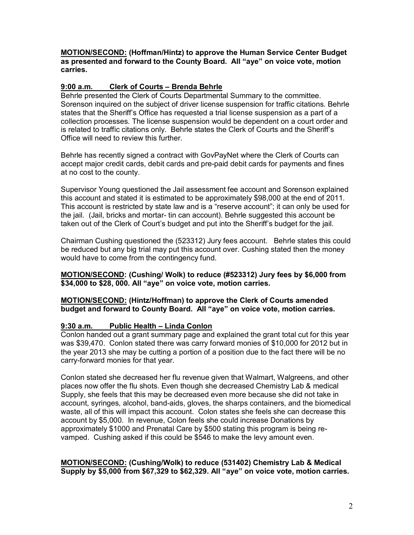**MOTION/SECOND: (Hoffman/Hintz) to approve the Human Service Center Budget as presented and forward to the County Board. All "aye" on voice vote, motion carries.** 

## **9:00 a.m. Clerk of Courts – Brenda Behrle**

Behrle presented the Clerk of Courts Departmental Summary to the committee. Sorenson inquired on the subject of driver license suspension for traffic citations. Behrle states that the Sheriff's Office has requested a trial license suspension as a part of a collection processes. The license suspension would be dependent on a court order and is related to traffic citations only. Behrle states the Clerk of Courts and the Sheriff's Office will need to review this further.

Behrle has recently signed a contract with GovPayNet where the Clerk of Courts can accept major credit cards, debit cards and pre-paid debit cards for payments and fines at no cost to the county.

Supervisor Young questioned the Jail assessment fee account and Sorenson explained this account and stated it is estimated to be approximately \$98,000 at the end of 2011. This account is restricted by state law and is a "reserve account"; it can only be used for the jail. (Jail, bricks and mortar- tin can account). Behrle suggested this account be taken out of the Clerk of Court's budget and put into the Sheriff's budget for the jail.

Chairman Cushing questioned the (523312) Jury fees account. Behrle states this could be reduced but any big trial may put this account over. Cushing stated then the money would have to come from the contingency fund.

**MOTION/SECOND: (Cushing/ Wolk) to reduce (#523312) Jury fees by \$6,000 from \$34,000 to \$28, 000. All "aye" on voice vote, motion carries.** 

**MOTION/SECOND: (Hintz/Hoffman) to approve the Clerk of Courts amended budget and forward to County Board. All "aye" on voice vote, motion carries.** 

## **9:30 a.m. Public Health – Linda Conlon**

Conlon handed out a grant summary page and explained the grant total cut for this year was \$39,470. Conlon stated there was carry forward monies of \$10,000 for 2012 but in the year 2013 she may be cutting a portion of a position due to the fact there will be no carry-forward monies for that year.

Conlon stated she decreased her flu revenue given that Walmart, Walgreens, and other places now offer the flu shots. Even though she decreased Chemistry Lab & medical Supply, she feels that this may be decreased even more because she did not take in account, syringes, alcohol, band-aids, gloves, the sharps containers, and the biomedical waste, all of this will impact this account. Colon states she feels she can decrease this account by \$5,000. In revenue, Colon feels she could increase Donations by approximately \$1000 and Prenatal Care by \$500 stating this program is being re vamped. Cushing asked if this could be \$546 to make the levy amount even.

### **MOTION/SECOND: (Cushing/Wolk) to reduce (531402) Chemistry Lab & Medical Supply by \$5,000 from \$67,329 to \$62,329. All "aye" on voice vote, motion carries.**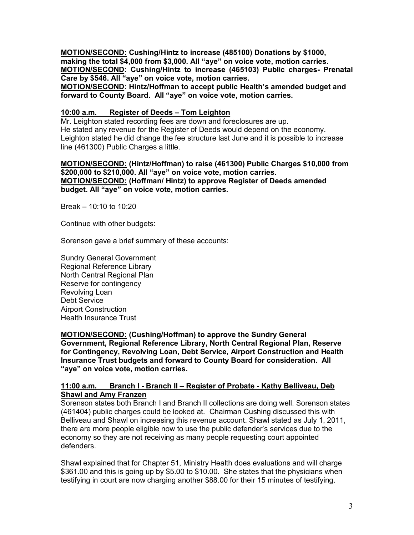**MOTION/SECOND: Cushing/Hintz to increase (485100) Donations by \$1000, making the total \$4,000 from \$3,000. All "aye" on voice vote, motion carries. MOTION/SECOND: Cushing/Hintz to increase (465103) Public charges Prenatal Care by \$546. All "aye" on voice vote, motion carries.** 

**MOTION/SECOND: Hintz/Hoffman to accept public Health's amended budget and forward to County Board. All "aye" on voice vote, motion carries.** 

### **10:00 a.m. Register of Deeds – Tom Leighton**

Mr. Leighton stated recording fees are down and foreclosures are up. He stated any revenue for the Register of Deeds would depend on the economy. Leighton stated he did change the fee structure last June and it is possible to increase line (461300) Public Charges a little.

#### **MOTION/SECOND: (Hintz/Hoffman) to raise (461300) Public Charges \$10,000 from \$200,000 to \$210,000. All "aye" on voice vote, motion carries. MOTION/SECOND: (Hoffman/ Hintz) to approve Register of Deeds amended budget. All "aye" on voice vote, motion carries.**

Break – 10:10 to 10:20

Continue with other budgets:

Sorenson gave a brief summary of these accounts:

Sundry General Government Regional Reference Library North Central Regional Plan Reserve for contingency Revolving Loan Debt Service Airport Construction Health Insurance Trust

**MOTION/SECOND: (Cushing/Hoffman) to approve the Sundry General Government, Regional Reference Library, North Central Regional Plan, Reserve for Contingency, Revolving Loan, Debt Service, Airport Construction and Health Insurance Trust budgets and forward to County Board for consideration. All "aye" on voice vote, motion carries.** 

### **11:00 a.m. Branch I Branch II – Register of Probate Kathy Belliveau, Deb Shawl and Amy Franzen**

Sorenson states both Branch I and Branch II collections are doing well. Sorenson states (461404) public charges could be looked at. Chairman Cushing discussed this with Belliveau and Shawl on increasing this revenue account. Shawl stated as July 1, 2011, there are more people eligible now to use the public defender's services due to the economy so they are not receiving as many people requesting court appointed defenders.

Shawl explained that for Chapter 51, Ministry Health does evaluations and will charge \$361.00 and this is going up by \$5.00 to \$10.00. She states that the physicians when testifying in court are now charging another \$88.00 for their 15 minutes of testifying.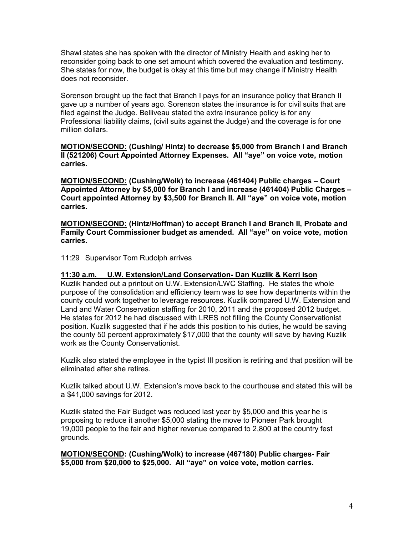Shawl states she has spoken with the director of Ministry Health and asking her to reconsider going back to one set amount which covered the evaluation and testimony. She states for now, the budget is okay at this time but may change if Ministry Health does not reconsider.

Sorenson brought up the fact that Branch I pays for an insurance policy that Branch II gave up a number of years ago. Sorenson states the insurance is for civil suits that are filed against the Judge. Belliveau stated the extra insurance policy is for any Professional liability claims, (civil suits against the Judge) and the coverage is for one million dollars.

**MOTION/SECOND: (Cushing/ Hintz) to decrease \$5,000 from Branch I and Branch II (521206) Court Appointed Attorney Expenses. All "aye" on voice vote, motion carries.** 

**MOTION/SECOND: (Cushing/Wolk) to increase (461404) Public charges – Court Appointed Attorney by \$5,000 for Branch I and increase (461404) Public Charges – Court appointed Attorney by \$3,500 for Branch II. All "aye" on voice vote, motion carries.** 

**MOTION/SECOND: (Hintz/Hoffman) to accept Branch I and Branch II, Probate and Family Court Commissioner budget as amended. All "aye" on voice vote, motion carries.**

11:29 Supervisor Tom Rudolph arrives

#### **11:30 a.m. U.W. Extension/Land Conservation Dan Kuzlik & Kerri Ison**

Kuzlik handed out a printout on U.W. Extension/LWC Staffing. He states the whole purpose of the consolidation and efficiency team was to see how departments within the county could work together to leverage resources. Kuzlik compared U.W. Extension and Land and Water Conservation staffing for 2010, 2011 and the proposed 2012 budget. He states for 2012 he had discussed with LRES not filling the County Conservationist position. Kuzlik suggested that if he adds this position to his duties, he would be saving the county 50 percent approximately \$17,000 that the county will save by having Kuzlik work as the County Conservationist.

Kuzlik also stated the employee in the typist III position is retiring and that position will be eliminated after she retires.

Kuzlik talked about U.W. Extension's move back to the courthouse and stated this will be a \$41,000 savings for 2012.

Kuzlik stated the Fair Budget was reduced last year by \$5,000 and this year he is proposing to reduce it another \$5,000 stating the move to Pioneer Park brought 19,000 people to the fair and higher revenue compared to 2,800 at the country fest grounds.

**MOTION/SECOND: (Cushing/Wolk) to increase (467180) Public charges Fair \$5,000 from \$20,000 to \$25,000. All "aye" on voice vote, motion carries.**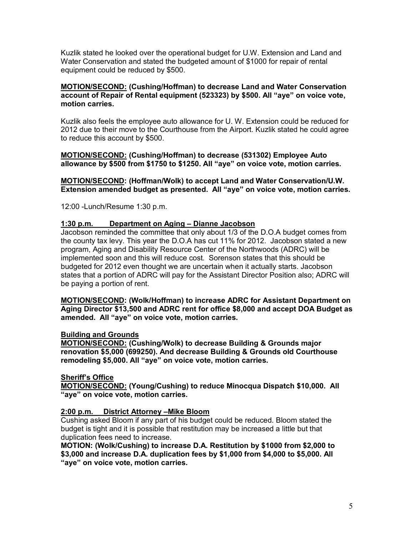Kuzlik stated he looked over the operational budget for U.W. Extension and Land and Water Conservation and stated the budgeted amount of \$1000 for repair of rental equipment could be reduced by \$500.

### **MOTION/SECOND: (Cushing/Hoffman) to decrease Land and Water Conservation account of Repair of Rental equipment (523323) by \$500. All "aye" on voice vote, motion carries.**

Kuzlik also feels the employee auto allowance for U. W. Extension could be reduced for 2012 due to their move to the Courthouse from the Airport. Kuzlik stated he could agree to reduce this account by \$500.

## **MOTION/SECOND: (Cushing/Hoffman) to decrease (531302) Employee Auto allowance by \$500 from \$1750 to \$1250. All "aye" on voice vote, motion carries.**

**MOTION/SECOND: (Hoffman/Wolk) to accept Land and Water Conservation/U.W. Extension amended budget as presented. All "aye" on voice vote, motion carries.**

12:00 Lunch/Resume 1:30 p.m.

## **1:30 p.m. Department on Aging – Dianne Jacobson**

Jacobson reminded the committee that only about 1/3 of the D.O.A budget comes from the county tax levy. This year the D.O.A has cut 11% for 2012. Jacobson stated a new program, Aging and Disability Resource Center of the Northwoods (ADRC) will be implemented soon and this will reduce cost. Sorenson states that this should be budgeted for 2012 even thought we are uncertain when it actually starts. Jacobson states that a portion of ADRC will pay for the Assistant Director Position also; ADRC will be paying a portion of rent.

**MOTION/SECOND: (Wolk/Hoffman) to increase ADRC for Assistant Department on Aging Director \$13,500 and ADRC rent for office \$8,000 and accept DOA Budget as amended. All "aye" on voice vote, motion carries.** 

## **Building and Grounds**

**MOTION/SECOND: (Cushing/Wolk) to decrease Building & Grounds major renovation \$5,000 (699250). And decrease Building & Grounds old Courthouse remodeling \$5,000. All "aye" on voice vote, motion carries.** 

## **Sheriff's Office**

**MOTION/SECOND: (Young/Cushing) to reduce Minocqua Dispatch \$10,000. All "aye" on voice vote, motion carries.** 

## **2:00 p.m. District Attorney –Mike Bloom**

Cushing asked Bloom if any part of his budget could be reduced. Bloom stated the budget is tight and it is possible that restitution may be increased a little but that duplication fees need to increase.

**MOTION: (Wolk/Cushing) to increase D.A. Restitution by \$1000 from \$2,000 to \$3,000 and increase D.A. duplication fees by \$1,000 from \$4,000 to \$5,000. All "aye" on voice vote, motion carries.**